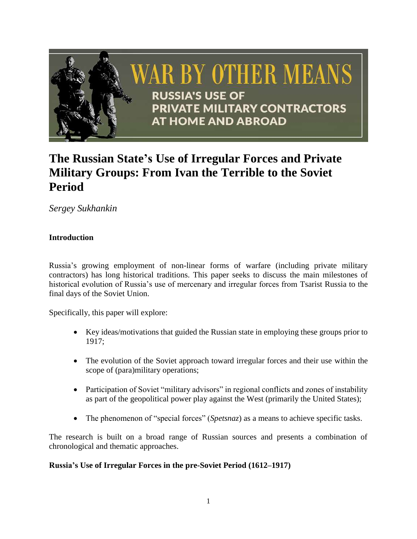

# **The Russian State's Use of Irregular Forces and Private Military Groups: From Ivan the Terrible to the Soviet Period**

*Sergey Sukhankin*

## **Introduction**

Russia's growing employment of non-linear forms of warfare (including private military contractors) has long historical traditions. This paper seeks to discuss the main milestones of historical evolution of Russia's use of mercenary and irregular forces from Tsarist Russia to the final days of the Soviet Union.

Specifically, this paper will explore:

- Key ideas/motivations that guided the Russian state in employing these groups prior to 1917;
- The evolution of the Soviet approach toward irregular forces and their use within the scope of (para)military operations;
- Participation of Soviet "military advisors" in regional conflicts and zones of instability as part of the geopolitical power play against the West (primarily the United States);
- The phenomenon of "special forces" (*Spetsnaz*) as a means to achieve specific tasks.

The research is built on a broad range of Russian sources and presents a combination of chronological and thematic approaches.

## **Russia's Use of Irregular Forces in the pre-Soviet Period (1612–1917)**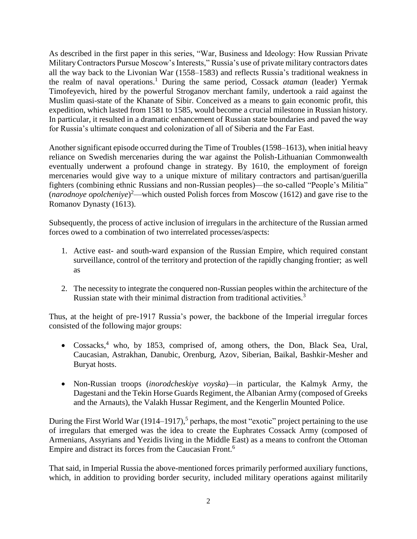As described in the first paper in this series, "War, Business and Ideology: How Russian Private Military Contractors Pursue Moscow's Interests," Russia's use of private military contractors dates all the way back to the Livonian War (1558–1583) and reflects Russia's traditional weakness in the realm of naval operations.<sup>1</sup> During the same period, Cossack *ataman* (leader) Yermak Timofeyevich, hired by the powerful Stroganov merchant family, undertook a raid against the Muslim quasi-state of the Khanate of Sibir. Conceived as a means to gain economic profit, this expedition, which lasted from 1581 to 1585, would become a crucial milestone in Russian history. In particular, it resulted in a dramatic enhancement of Russian state boundaries and paved the way for Russia's ultimate conquest and colonization of all of Siberia and the Far East.

Another significant episode occurred during the Time of Troubles (1598–1613), when initial heavy reliance on Swedish mercenaries during the war against the Polish-Lithuanian Commonwealth eventually underwent a profound change in strategy. By 1610, the employment of foreign mercenaries would give way to a unique mixture of military contractors and partisan/guerilla fighters (combining ethnic Russians and non-Russian peoples)—the so-called "People's Militia" (*narodnoye opolcheniye*) <sup>2</sup>—which ousted Polish forces from Moscow (1612) and gave rise to the Romanov Dynasty (1613).

Subsequently, the process of active inclusion of irregulars in the architecture of the Russian armed forces owed to a combination of two interrelated processes/aspects:

- 1. Active east- and south-ward expansion of the Russian Empire, which required constant surveillance, control of the territory and protection of the rapidly changing frontier; as well as
- 2. The necessity to integrate the conquered non-Russian peoples within the architecture of the Russian state with their minimal distraction from traditional activities.<sup>3</sup>

Thus, at the height of pre-1917 Russia's power, the backbone of the Imperial irregular forces consisted of the following major groups:

- Cossacks, <sup>4</sup> who, by 1853, comprised of, among others, the Don, Black Sea, Ural, Caucasian, Astrakhan, Danubic, Orenburg, Azov, Siberian, Baikal, Bashkir-Mesher and Buryat hosts.
- Non-Russian troops (*inorodcheskiye voyska*)—in particular, the Kalmyk Army, the Dagestani and the Tekin Horse Guards Regiment, the Albanian Army (composed of Greeks and the Arnauts), the Valakh Hussar Regiment, and the Kengerlin Mounted Police.

During the First World War (1914–1917),<sup>5</sup> perhaps, the most "exotic" project pertaining to the use of irregulars that emerged was the idea to create the Euphrates Cossack Army (composed of Armenians, Assyrians and Yezidis living in the Middle East) as a means to confront the Ottoman Empire and distract its forces from the Caucasian Front.<sup>6</sup>

That said, in Imperial Russia the above-mentioned forces primarily performed auxiliary functions, which, in addition to providing border security, included military operations against militarily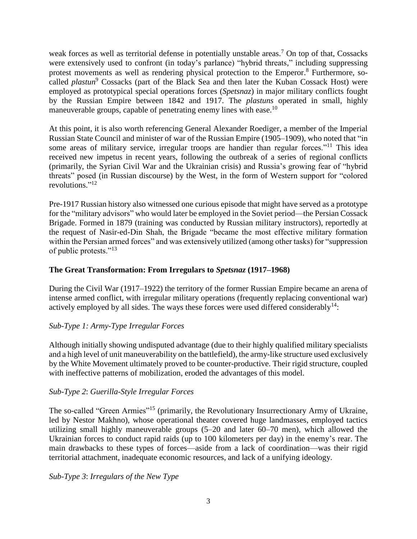weak forces as well as territorial defense in potentially unstable areas.<sup>7</sup> On top of that, Cossacks were extensively used to confront (in today's parlance) "hybrid threats," including suppressing protest movements as well as rendering physical protection to the Emperor.<sup>8</sup> Furthermore, socalled *plastun*<sup>9</sup> Cossacks (part of the Black Sea and then later the Kuban Cossack Host) were employed as prototypical special operations forces (*Spetsnaz*) in major military conflicts fought by the Russian Empire between 1842 and 1917. The *plastuns* operated in small, highly maneuverable groups, capable of penetrating enemy lines with ease.<sup>10</sup>

At this point, it is also worth referencing General Alexander Roediger, a member of the Imperial Russian State Council and minister of war of the Russian Empire (1905–1909), who noted that "in some areas of military service, irregular troops are handier than regular forces."<sup>11</sup> This idea received new impetus in recent years, following the outbreak of a series of regional conflicts (primarily, the Syrian Civil War and the Ukrainian crisis) and Russia's growing fear of "hybrid threats" posed (in Russian discourse) by the West, in the form of Western support for "colored revolutions."<sup>12</sup>

Pre-1917 Russian history also witnessed one curious episode that might have served as a prototype for the "military advisors" who would later be employed in the Soviet period—the Persian Cossack Brigade. Formed in 1879 (training was conducted by Russian military instructors), reportedly at the request of Nasir-ed-Din Shah, the Brigade "became the most effective military formation within the Persian armed forces" and was extensively utilized (among other tasks) for "suppression of public protests."<sup>13</sup>

## **The Great Transformation: From Irregulars to** *Spetsnaz* **(1917–1968)**

During the Civil War (1917–1922) the territory of the former Russian Empire became an arena of intense armed conflict, with irregular military operations (frequently replacing conventional war) actively employed by all sides. The ways these forces were used differed considerably<sup>14</sup>:

#### *Sub-Type 1: Army-Type Irregular Forces*

Although initially showing undisputed advantage (due to their highly qualified military specialists and a high level of unit maneuverability on the battlefield), the army-like structure used exclusively by the White Movement ultimately proved to be counter-productive. Their rigid structure, coupled with ineffective patterns of mobilization, eroded the advantages of this model.

## *Sub-Type 2*: *Guerilla-Style Irregular Forces*

The so-called "Green Armies"<sup>15</sup> (primarily, the Revolutionary Insurrectionary Army of Ukraine, led by Nestor Makhno), whose operational theater covered huge landmasses, employed tactics utilizing small highly maneuverable groups (5–20 and later 60–70 men), which allowed the Ukrainian forces to conduct rapid raids (up to 100 kilometers per day) in the enemy's rear. The main drawbacks to these types of forces—aside from a lack of coordination—was their rigid territorial attachment, inadequate economic resources, and lack of a unifying ideology.

#### *Sub-Type 3*: *Irregulars of the New Type*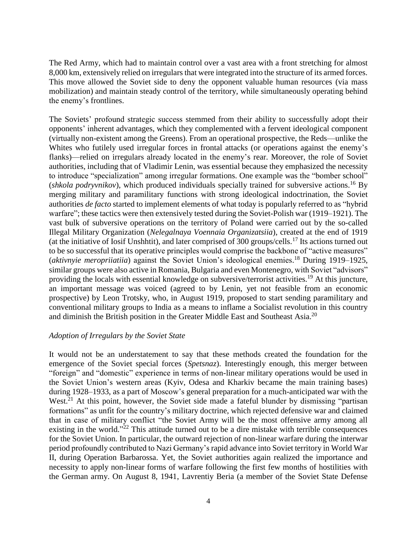The Red Army, which had to maintain control over a vast area with a front stretching for almost 8,000 km, extensively relied on irregulars that were integrated into the structure of its armed forces. This move allowed the Soviet side to deny the opponent valuable human resources (via mass mobilization) and maintain steady control of the territory, while simultaneously operating behind the enemy's frontlines.

The Soviets' profound strategic success stemmed from their ability to successfully adopt their opponents' inherent advantages, which they complemented with a fervent ideological component (virtually non-existent among the Greens). From an operational prospective, the Reds—unlike the Whites who futilely used irregular forces in frontal attacks (or operations against the enemy's flanks)—relied on irregulars already located in the enemy's rear. Moreover, the role of Soviet authorities, including that of Vladimir Lenin, was essential because they emphasized the necessity to introduce "specialization" among irregular formations. One example was the "bomber school" (*shkola podryvnikov*), which produced individuals specially trained for subversive actions.<sup>16</sup> By merging military and paramilitary functions with strong ideological indoctrination, the Soviet authorities *de facto* started to implement elements of what today is popularly referred to as "hybrid warfare"; these tactics were then extensively tested during the Soviet-Polish war (1919–1921). The vast bulk of subversive operations on the territory of Poland were carried out by the so-called Illegal Military Organization (*Nelegalnaya Voennaia Organizatsiia*), created at the end of 1919 (at the initiative of Iosif Unshhtit), and later comprised of  $300$  groups/cells.<sup>17</sup> Its actions turned out to be so successful that its operative principles would comprise the backbone of "active measures" (*aktivnyie meropriiatiia*) against the Soviet Union's ideological enemies.<sup>18</sup> During 1919–1925, similar groups were also active in Romania, Bulgaria and even Montenegro, with Soviet "advisors" providing the locals with essential knowledge on subversive/terrorist activities.<sup>19</sup> At this juncture, an important message was voiced (agreed to by Lenin, yet not feasible from an economic prospective) by Leon Trotsky, who, in August 1919, proposed to start sending paramilitary and conventional military groups to India as a means to inflame a Socialist revolution in this country and diminish the British position in the Greater Middle East and Southeast Asia.<sup>20</sup>

#### *Adoption of Irregulars by the Soviet State*

It would not be an understatement to say that these methods created the foundation for the emergence of the Soviet special forces (*Spetsnaz*). Interestingly enough, this merger between "foreign" and "domestic" experience in terms of non-linear military operations would be used in the Soviet Union's western areas (Kyiv, Odesa and Kharkiv became the main training bases) during 1928–1933, as a part of Moscow's general preparation for a much-anticipated war with the West. $^{21}$  At this point, however, the Soviet side made a fateful blunder by dismissing "partisan formations" as unfit for the country's military doctrine, which rejected defensive war and claimed that in case of military conflict "the Soviet Army will be the most offensive army among all existing in the world."<sup>22</sup> This attitude turned out to be a dire mistake with terrible consequences for the Soviet Union. In particular, the outward rejection of non-linear warfare during the interwar period profoundly contributed to Nazi Germany's rapid advance into Soviet territory in World War II, during Operation Barbarossa. Yet, the Soviet authorities again realized the importance and necessity to apply non-linear forms of warfare following the first few months of hostilities with the German army. On August 8, 1941, Lavrentiy Beria (a member of the Soviet State Defense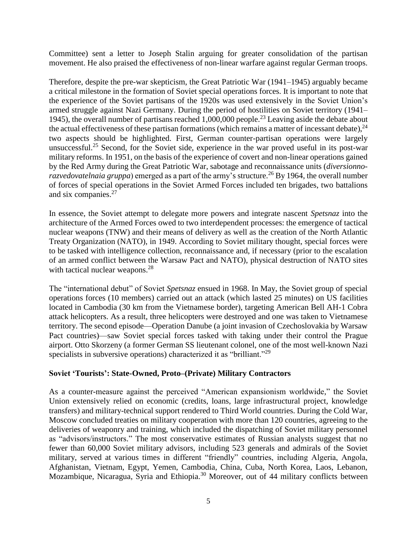Committee) sent a letter to Joseph Stalin arguing for greater consolidation of the partisan movement. He also praised the effectiveness of non-linear warfare against regular German troops.

Therefore, despite the pre-war skepticism, the Great Patriotic War (1941–1945) arguably became a critical milestone in the formation of Soviet special operations forces. It is important to note that the experience of the Soviet partisans of the 1920s was used extensively in the Soviet Union's armed struggle against Nazi Germany. During the period of hostilities on Soviet territory (1941– 1945), the overall number of partisans reached 1,000,000 people.<sup>23</sup> Leaving aside the debate about the actual effectiveness of these partisan formations (which remains a matter of incessant debate),  $24$ two aspects should be highlighted. First, German counter-partisan operations were largely unsuccessful.<sup>25</sup> Second, for the Soviet side, experience in the war proved useful in its post-war military reforms. In 1951, on the basis of the experience of covert and non-linear operations gained by the Red Army during the Great Patriotic War, sabotage and reconnaissance units (*diversionnorazvedovatelnaia gruppa*) emerged as a part of the army's structure.<sup>26</sup> By 1964, the overall number of forces of special operations in the Soviet Armed Forces included ten brigades, two battalions and six companies.<sup>27</sup>

In essence, the Soviet attempt to delegate more powers and integrate nascent *Spetsnaz* into the architecture of the Armed Forces owed to two interdependent processes: the emergence of tactical nuclear weapons (TNW) and their means of delivery as well as the creation of the North Atlantic Treaty Organization (NATO), in 1949. According to Soviet military thought, special forces were to be tasked with intelligence collection, reconnaissance and, if necessary (prior to the escalation of an armed conflict between the Warsaw Pact and NATO), physical destruction of NATO sites with tactical nuclear weapons.<sup>28</sup>

The "international debut" of Soviet *Spetsnaz* ensued in 1968. In May, the Soviet group of special operations forces (10 members) carried out an attack (which lasted 25 minutes) on US facilities located in Cambodia (30 km from the Vietnamese border), targeting American Bell AH-1 Cobra attack helicopters. As a result, three helicopters were destroyed and one was taken to Vietnamese territory. The second episode—Operation Danube (a joint invasion of Czechoslovakia by Warsaw Pact countries)—saw Soviet special forces tasked with taking under their control the Prague airport. Otto Skorzeny (a former German SS lieutenant colonel, one of the most well-known Nazi specialists in subversive operations) characterized it as "brilliant."<sup>29</sup>

## **Soviet 'Tourists': State-Owned, Proto–(Private) Military Contractors**

As a counter-measure against the perceived "American expansionism worldwide," the Soviet Union extensively relied on economic (credits, loans, large infrastructural project, knowledge transfers) and military-technical support rendered to Third World countries. During the Cold War, Moscow concluded treaties on military cooperation with more than 120 countries, agreeing to the deliveries of weaponry and training, which included the dispatching of Soviet military personnel as "advisors/instructors." The most conservative estimates of Russian analysts suggest that no fewer than 60,000 Soviet military advisors, including 523 generals and admirals of the Soviet military, served at various times in different "friendly" countries, including Algeria, Angola, Afghanistan, Vietnam, Egypt, Yemen, Cambodia, China, Cuba, North Korea, Laos, Lebanon, Mozambique, Nicaragua, Syria and Ethiopia.<sup>30</sup> Moreover, out of 44 military conflicts between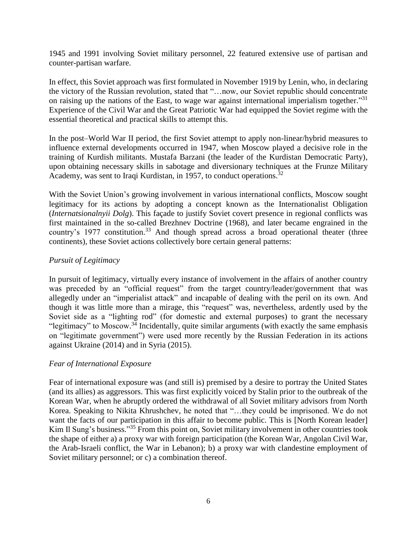1945 and 1991 involving Soviet military personnel, 22 featured extensive use of partisan and counter-partisan warfare.

In effect, this Soviet approach was first formulated in November 1919 by Lenin, who, in declaring the victory of the Russian revolution, stated that "…now, our Soviet republic should concentrate on raising up the nations of the East, to wage war against international imperialism together."<sup>31</sup> Experience of the Civil War and the Great Patriotic War had equipped the Soviet regime with the essential theoretical and practical skills to attempt this.

In the post–World War II period, the first Soviet attempt to apply non-linear/hybrid measures to influence external developments occurred in 1947, when Moscow played a decisive role in the training of Kurdish militants. Mustafa Barzani (the leader of the Kurdistan Democratic Party), upon obtaining necessary skills in sabotage and diversionary techniques at the Frunze Military Academy, was sent to Iraqi Kurdistan, in 1957, to conduct operations.<sup>32</sup>

With the Soviet Union's growing involvement in various international conflicts, Moscow sought legitimacy for its actions by adopting a concept known as the Internationalist Obligation (*Internatsionalnyii Dolg*). This façade to justify Soviet covert presence in regional conflicts was first maintained in the so-called Brezhnev Doctrine (1968), and later became engrained in the country's 1977 constitution.<sup>33</sup> And though spread across a broad operational theater (three continents), these Soviet actions collectively bore certain general patterns:

## *Pursuit of Legitimacy*

In pursuit of legitimacy, virtually every instance of involvement in the affairs of another country was preceded by an "official request" from the target country/leader/government that was allegedly under an "imperialist attack" and incapable of dealing with the peril on its own. And though it was little more than a mirage, this "request" was, nevertheless, ardently used by the Soviet side as a "lighting rod" (for domestic and external purposes) to grant the necessary "legitimacy" to Moscow.<sup>34</sup> Incidentally, quite similar arguments (with exactly the same emphasis on "legitimate government") were used more recently by the Russian Federation in its actions against Ukraine (2014) and in Syria (2015).

## *Fear of International Exposure*

Fear of international exposure was (and still is) premised by a desire to portray the United States (and its allies) as aggressors. This was first explicitly voiced by Stalin prior to the outbreak of the Korean War, when he abruptly ordered the withdrawal of all Soviet military advisors from North Korea. Speaking to Nikita Khrushchev, he noted that "…they could be imprisoned. We do not want the facts of our participation in this affair to become public. This is [North Korean leader] Kim Il Sung's business."<sup>35</sup> From this point on, Soviet military involvement in other countries took the shape of either a) a proxy war with foreign participation (the Korean War, Angolan Civil War, the Arab-Israeli conflict, the War in Lebanon); b) a proxy war with clandestine employment of Soviet military personnel; or c) a combination thereof.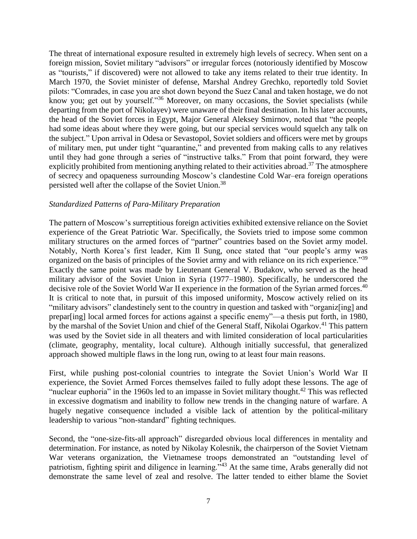The threat of international exposure resulted in extremely high levels of secrecy. When sent on a foreign mission, Soviet military "advisors" or irregular forces (notoriously identified by Moscow as "tourists," if discovered) were not allowed to take any items related to their true identity. In March 1970, the Soviet minister of defense, Marshal Andrey Grechko, reportedly told Soviet pilots: "Comrades, in case you are shot down beyond the Suez Canal and taken hostage, we do not know you; get out by yourself."<sup>36</sup> Moreover, on many occasions, the Soviet specialists (while departing from the port of Nikolayev) were unaware of their final destination. In his later accounts, the head of the Soviet forces in Egypt, Major General Aleksey Smirnov, noted that "the people had some ideas about where they were going, but our special services would squelch any talk on the subject." Upon arrival in Odesa or Sevastopol, Soviet soldiers and officers were met by groups of military men, put under tight "quarantine," and prevented from making calls to any relatives until they had gone through a series of "instructive talks." From that point forward, they were explicitly prohibited from mentioning anything related to their activities abroad.<sup>37</sup> The atmosphere of secrecy and opaqueness surrounding Moscow's clandestine Cold War–era foreign operations persisted well after the collapse of the Soviet Union.<sup>38</sup>

#### *Standardized Patterns of Para-Military Preparation*

The pattern of Moscow's surreptitious foreign activities exhibited extensive reliance on the Soviet experience of the Great Patriotic War. Specifically, the Soviets tried to impose some common military structures on the armed forces of "partner" countries based on the Soviet army model. Notably, North Korea's first leader, Kim Il Sung, once stated that "our people's army was organized on the basis of principles of the Soviet army and with reliance on its rich experience."<sup>39</sup> Exactly the same point was made by Lieutenant General V. Budakov, who served as the head military advisor of the Soviet Union in Syria (1977–1980). Specifically, he underscored the decisive role of the Soviet World War II experience in the formation of the Syrian armed forces.<sup>40</sup> It is critical to note that, in pursuit of this imposed uniformity, Moscow actively relied on its "military advisors" clandestinely sent to the country in question and tasked with "organiz[ing] and prepar[ing] local armed forces for actions against a specific enemy"—a thesis put forth, in 1980, by the marshal of the Soviet Union and chief of the General Staff, Nikolai Ogarkov.<sup>41</sup> This pattern was used by the Soviet side in all theaters and with limited consideration of local particularities (climate, geography, mentality, local culture). Although initially successful, that generalized approach showed multiple flaws in the long run, owing to at least four main reasons.

First, while pushing post-colonial countries to integrate the Soviet Union's World War II experience, the Soviet Armed Forces themselves failed to fully adopt these lessons. The age of "nuclear euphoria" in the 1960s led to an impasse in Soviet military thought.<sup>42</sup> This was reflected in excessive dogmatism and inability to follow new trends in the changing nature of warfare. A hugely negative consequence included a visible lack of attention by the political-military leadership to various "non-standard" fighting techniques.

Second, the "one-size-fits-all approach" disregarded obvious local differences in mentality and determination. For instance, as noted by Nikolay Kolesnik, the chairperson of the Soviet Vietnam War veterans organization, the Vietnamese troops demonstrated an "outstanding level of patriotism, fighting spirit and diligence in learning.<sup>343</sup> At the same time, Arabs generally did not demonstrate the same level of zeal and resolve. The latter tended to either blame the Soviet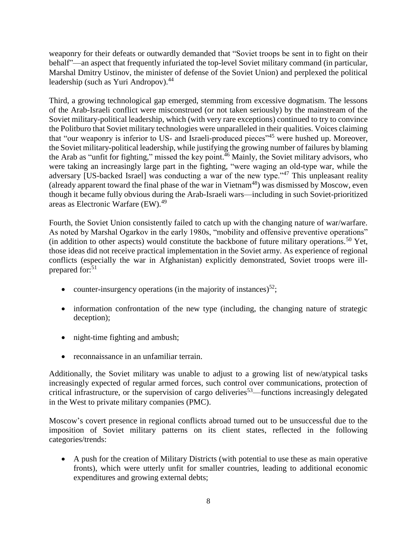weaponry for their defeats or outwardly demanded that "Soviet troops be sent in to fight on their behalf"—an aspect that frequently infuriated the top-level Soviet military command (in particular, Marshal Dmitry Ustinov, the minister of defense of the Soviet Union) and perplexed the political leadership (such as Yuri Andropov).<sup>44</sup>

Third, a growing technological gap emerged, stemming from excessive dogmatism. The lessons of the Arab-Israeli conflict were misconstrued (or not taken seriously) by the mainstream of the Soviet military-political leadership, which (with very rare exceptions) continued to try to convince the Politburo that Soviet military technologies were unparalleled in their qualities. Voices claiming that "our weaponry is inferior to US- and Israeli-produced pieces"<sup>45</sup> were hushed up. Moreover, the Soviet military-political leadership, while justifying the growing number of failures by blaming the Arab as "unfit for fighting," missed the key point.<sup>46</sup> Mainly, the Soviet military advisors, who were taking an increasingly large part in the fighting, "were waging an old-type war, while the adversary [US-backed Israel] was conducting a war of the new type."<sup>47</sup> This unpleasant reality (already apparent toward the final phase of the war in Vietnam<sup>48</sup>) was dismissed by Moscow, even though it became fully obvious during the Arab-Israeli wars—including in such Soviet-prioritized areas as Electronic Warfare (EW).<sup>49</sup>

Fourth, the Soviet Union consistently failed to catch up with the changing nature of war/warfare. As noted by Marshal Ogarkov in the early 1980s, "mobility and offensive preventive operations" (in addition to other aspects) would constitute the backbone of future military operations.<sup>50</sup> Yet, those ideas did not receive practical implementation in the Soviet army. As experience of regional conflicts (especially the war in Afghanistan) explicitly demonstrated, Soviet troops were illprepared for:<sup>51</sup>

- counter-insurgency operations (in the majority of instances)<sup>52</sup>;
- information confrontation of the new type (including, the changing nature of strategic deception);
- night-time fighting and ambush;
- reconnaissance in an unfamiliar terrain.

Additionally, the Soviet military was unable to adjust to a growing list of new/atypical tasks increasingly expected of regular armed forces, such control over communications, protection of critical infrastructure, or the supervision of cargo deliveries<sup>53</sup>—functions increasingly delegated in the West to private military companies (PMC).

Moscow's covert presence in regional conflicts abroad turned out to be unsuccessful due to the imposition of Soviet military patterns on its client states, reflected in the following categories/trends:

 A push for the creation of Military Districts (with potential to use these as main operative fronts), which were utterly unfit for smaller countries, leading to additional economic expenditures and growing external debts;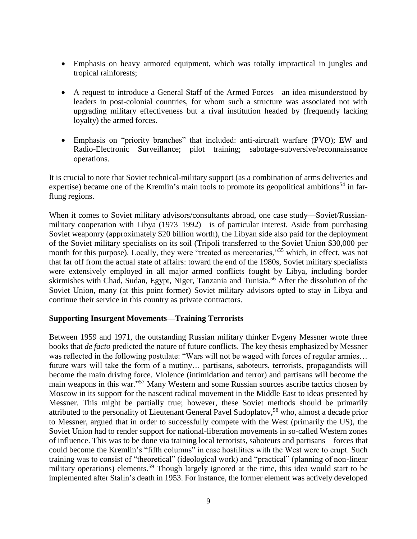- Emphasis on heavy armored equipment, which was totally impractical in jungles and tropical rainforests;
- A request to introduce a General Staff of the Armed Forces—an idea misunderstood by leaders in post-colonial countries, for whom such a structure was associated not with upgrading military effectiveness but a rival institution headed by (frequently lacking loyalty) the armed forces.
- Emphasis on "priority branches" that included: anti-aircraft warfare (PVO); EW and Radio-Electronic Surveillance; pilot training; sabotage-subversive/reconnaissance operations.

It is crucial to note that Soviet technical-military support (as a combination of arms deliveries and expertise) became one of the Kremlin's main tools to promote its geopolitical ambitions<sup>54</sup> in farflung regions.

When it comes to Soviet military advisors/consultants abroad, one case study—Soviet/Russianmilitary cooperation with Libya (1973–1992)—is of particular interest. Aside from purchasing Soviet weaponry (approximately \$20 billion worth), the Libyan side also paid for the deployment of the Soviet military specialists on its soil (Tripoli transferred to the Soviet Union \$30,000 per month for this purpose). Locally, they were "treated as mercenaries,"<sup>55</sup> which, in effect, was not that far off from the actual state of affairs: toward the end of the 1980s, Soviet military specialists were extensively employed in all major armed conflicts fought by Libya, including border skirmishes with Chad, Sudan, Egypt, Niger, Tanzania and Tunisia.<sup>56</sup> After the dissolution of the Soviet Union, many (at this point former) Soviet military advisors opted to stay in Libya and continue their service in this country as private contractors.

#### **Supporting Insurgent Movements—Training Terrorists**

Between 1959 and 1971, the outstanding Russian military thinker Evgeny Messner wrote three books that *de facto* predicted the nature of future conflicts. The key thesis emphasized by Messner was reflected in the following postulate: "Wars will not be waged with forces of regular armies… future wars will take the form of a mutiny… partisans, saboteurs, terrorists, propagandists will become the main driving force. Violence (intimidation and terror) and partisans will become the main weapons in this war."<sup>57</sup> Many Western and some Russian sources ascribe tactics chosen by Moscow in its support for the nascent radical movement in the Middle East to ideas presented by Messner. This might be partially true; however, these Soviet methods should be primarily attributed to the personality of Lieutenant General Pavel Sudoplatov,<sup>58</sup> who, almost a decade prior to Messner, argued that in order to successfully compete with the West (primarily the US), the Soviet Union had to render support for national-liberation movements in so-called Western zones of influence. This was to be done via training local terrorists, saboteurs and partisans—forces that could become the Kremlin's "fifth columns" in case hostilities with the West were to erupt. Such training was to consist of "theoretical" (ideological work) and "practical" (planning of non-linear military operations) elements.<sup>59</sup> Though largely ignored at the time, this idea would start to be implemented after Stalin's death in 1953. For instance, the former element was actively developed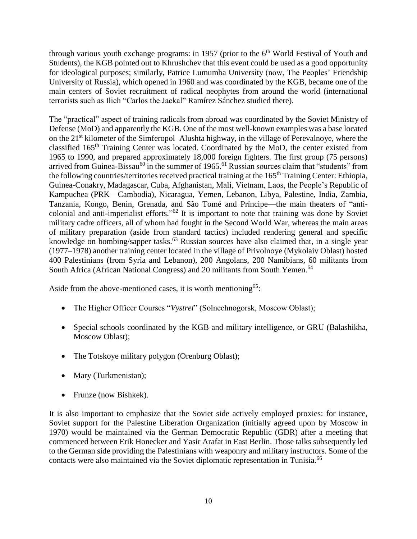through various youth exchange programs: in 1957 (prior to the  $6<sup>th</sup>$  World Festival of Youth and Students), the KGB pointed out to Khrushchev that this event could be used as a good opportunity for ideological purposes; similarly, Patrice Lumumba University (now, The Peoples' Friendship University of Russia), which opened in 1960 and was coordinated by the KGB, became one of the main centers of Soviet recruitment of radical neophytes from around the world (international terrorists such as Ilich "Carlos the Jackal" Ramírez Sánchez studied there).

The "practical" aspect of training radicals from abroad was coordinated by the Soviet Ministry of Defense (MoD) and apparently the KGB. One of the most well-known examples was a base located on the 21st kilometer of the Simferopol–Alushta highway, in the village of Perevalnoye, where the classified 165th Training Center was located. Coordinated by the MoD, the center existed from 1965 to 1990, and prepared approximately 18,000 foreign fighters. The first group (75 persons) arrived from Guinea-Bissau<sup>60</sup> in the summer of 1965.<sup>61</sup> Russian sources claim that "students" from the following countries/territories received practical training at the 165<sup>th</sup> Training Center: Ethiopia, Guinea-Conakry, Madagascar, Cuba, Afghanistan, Mali, Vietnam, Laos, the People's Republic of Kampuchea (PRK—Cambodia), Nicaragua, Yemen, Lebanon, Libya, Palestine, India, Zambia, Tanzania, Kongo, Benin, Grenada, and São Tomé and Príncipe—the main theaters of "anticolonial and anti-imperialist efforts."<sup>62</sup> It is important to note that training was done by Soviet military cadre officers, all of whom had fought in the Second World War, whereas the main areas of military preparation (aside from standard tactics) included rendering general and specific knowledge on bombing/sapper tasks.<sup>63</sup> Russian sources have also claimed that, in a single year (1977–1978) another training center located in the village of Privolnoye (Mykolaiv Oblast) hosted 400 Palestinians (from Syria and Lebanon), 200 Angolans, 200 Namibians, 60 militants from South Africa (African National Congress) and 20 militants from South Yemen.<sup>64</sup>

Aside from the above-mentioned cases, it is worth mentioning<sup>65</sup>:

- The Higher Officer Courses "*Vystrel*" (Solnechnogorsk, Moscow Oblast);
- Special schools coordinated by the KGB and military intelligence, or GRU (Balashikha, Moscow Oblast);
- The Totskoye military polygon (Orenburg Oblast);
- Mary (Turkmenistan);
- Frunze (now Bishkek).

It is also important to emphasize that the Soviet side actively employed proxies: for instance, Soviet support for the Palestine Liberation Organization (initially agreed upon by Moscow in 1970) would be maintained via the German Democratic Republic (GDR) after a meeting that commenced between Erik Honecker and Yasir Arafat in East Berlin. Those talks subsequently led to the German side providing the Palestinians with weaponry and military instructors. Some of the contacts were also maintained via the Soviet diplomatic representation in Tunisia.<sup>66</sup>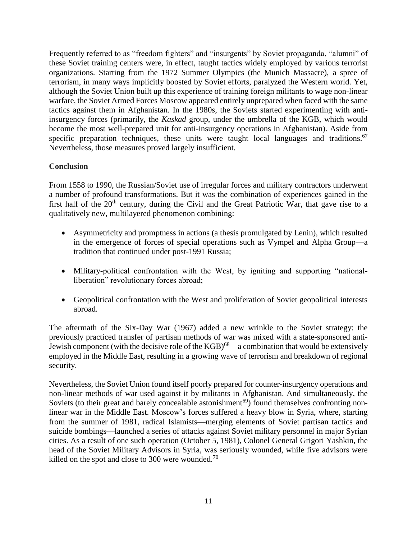Frequently referred to as "freedom fighters" and "insurgents" by Soviet propaganda, "alumni" of these Soviet training centers were, in effect, taught tactics widely employed by various terrorist organizations. Starting from the 1972 Summer Olympics (the Munich Massacre), a spree of terrorism, in many ways implicitly boosted by Soviet efforts, paralyzed the Western world. Yet, although the Soviet Union built up this experience of training foreign militants to wage non-linear warfare, the Soviet Armed Forces Moscow appeared entirely unprepared when faced with the same tactics against them in Afghanistan. In the 1980s, the Soviets started experimenting with antiinsurgency forces (primarily, the *Kaskad* group, under the umbrella of the KGB, which would become the most well-prepared unit for anti-insurgency operations in Afghanistan). Aside from specific preparation techniques, these units were taught local languages and traditions.<sup>67</sup> Nevertheless, those measures proved largely insufficient.

## **Conclusion**

From 1558 to 1990, the Russian/Soviet use of irregular forces and military contractors underwent a number of profound transformations. But it was the combination of experiences gained in the first half of the  $20<sup>th</sup>$  century, during the Civil and the Great Patriotic War, that gave rise to a qualitatively new, multilayered phenomenon combining:

- Asymmetricity and promptness in actions (a thesis promulgated by Lenin), which resulted in the emergence of forces of special operations such as Vympel and Alpha Group—a tradition that continued under post-1991 Russia;
- Military-political confrontation with the West, by igniting and supporting "nationalliberation" revolutionary forces abroad;
- Geopolitical confrontation with the West and proliferation of Soviet geopolitical interests abroad.

The aftermath of the Six-Day War (1967) added a new wrinkle to the Soviet strategy: the previously practiced transfer of partisan methods of war was mixed with a state-sponsored anti-Jewish component (with the decisive role of the  $KGB$ )<sup>68</sup>—a combination that would be extensively employed in the Middle East, resulting in a growing wave of terrorism and breakdown of regional security.

Nevertheless, the Soviet Union found itself poorly prepared for counter-insurgency operations and non-linear methods of war used against it by militants in Afghanistan. And simultaneously, the Soviets (to their great and barely concealable astonishment<sup>69</sup>) found themselves confronting nonlinear war in the Middle East. Moscow's forces suffered a heavy blow in Syria, where, starting from the summer of 1981, radical Islamists—merging elements of Soviet partisan tactics and suicide bombings—launched a series of attacks against Soviet military personnel in major Syrian cities. As a result of one such operation (October 5, 1981), Colonel General Grigori Yashkin, the head of the Soviet Military Advisors in Syria, was seriously wounded, while five advisors were killed on the spot and close to 300 were wounded.<sup>70</sup>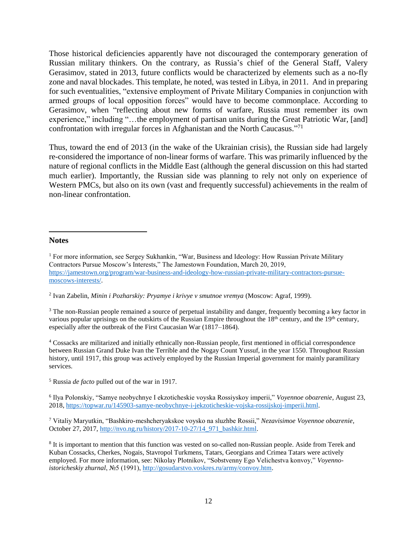Those historical deficiencies apparently have not discouraged the contemporary generation of Russian military thinkers. On the contrary, as Russia's chief of the General Staff, Valery Gerasimov, stated in 2013, future conflicts would be characterized by elements such as a no-fly zone and naval blockades. This template, he noted, was tested in Libya, in 2011. And in preparing for such eventualities, "extensive employment of Private Military Companies in conjunction with armed groups of local opposition forces" would have to become commonplace. According to Gerasimov, when "reflecting about new forms of warfare, Russia must remember its own experience," including "...the employment of partisan units during the Great Patriotic War, [and] confrontation with irregular forces in Afghanistan and the North Caucasus."<sup>71</sup>

Thus, toward the end of 2013 (in the wake of the Ukrainian crisis), the Russian side had largely re-considered the importance of non-linear forms of warfare. This was primarily influenced by the nature of regional conflicts in the Middle East (although the general discussion on this had started much earlier). Importantly, the Russian side was planning to rely not only on experience of Western PMCs, but also on its own (vast and frequently successful) achievements in the realm of non-linear confrontation.

#### **Notes**

 $\overline{a}$ 

2 Ivan Zabelin, *Minin i Pozharskiy: Pryamye i krivye v smutnoe vremya* (Moscow: Agraf, 1999).

<sup>3</sup> The non-Russian people remained a source of perpetual instability and danger, frequently becoming a key factor in various popular uprisings on the outskirts of the Russian Empire throughout the  $18<sup>th</sup>$  century, and the  $19<sup>th</sup>$  century, especially after the outbreak of the First Caucasian War (1817–1864).

<sup>4</sup> Cossacks are militarized and initially ethnically non-Russian people, first mentioned in official correspondence between Russian Grand Duke Ivan the Terrible and the Nogay Count Yussuf, in the year 1550. Throughout Russian history, until 1917, this group was actively employed by the Russian Imperial government for mainly paramilitary services.

<sup>5</sup> Russia *de facto* pulled out of the war in 1917.

6 Ilya Polonskiy, "Samye neobychnye I ekzoticheskie voyska Rossiyskoy imperii," *Voyennoe obozrenie*, August 23, 2018, [https://topwar.ru/145903-samye-neobychnye-i-jekzoticheskie-vojska-rossijskoj-imperii.html.](https://topwar.ru/145903-samye-neobychnye-i-jekzoticheskie-vojska-rossijskoj-imperii.html)

<sup>7</sup> Vitaliy Maryutkin, "Bashkiro-meshcheryakskoe voysko na sluzhbe Rossii," *Nezavisimoe Voyennoe obozrenie*, October 27, 2017[, http://nvo.ng.ru/history/2017-10-27/14\\_971\\_bashkir.html.](http://nvo.ng.ru/history/2017-10-27/14_971_bashkir.html)

<sup>8</sup> It is important to mention that this function was vested on so-called non-Russian people. Aside from Terek and Kuban Cossacks, Cherkes, Nogais, Stavropol Turkmens, Tatars, Georgians and Crimea Tatars were actively employed. For more information, see: Nikolay Plotnikov, "Sobstvenny Ego Velichestva konvoy," *Voyennoistoricheskiy zhurnal*, №5 (1991), [http://gosudarstvo.voskres.ru/army/convoy.htm.](http://gosudarstvo.voskres.ru/army/convoy.htm)

<sup>&</sup>lt;sup>1</sup> For more information, see Sergey Sukhankin, "War, Business and Ideology: How Russian Private Military Contractors Pursue Moscow's Interests," The Jamestown Foundation, March 20, 2019, [https://jamestown.org/program/war-business-and-ideology-how-russian-private-military-contractors-pursue](https://jamestown.org/program/war-business-and-ideology-how-russian-private-military-contractors-pursue-moscows-interests/)[moscows-interests/.](https://jamestown.org/program/war-business-and-ideology-how-russian-private-military-contractors-pursue-moscows-interests/)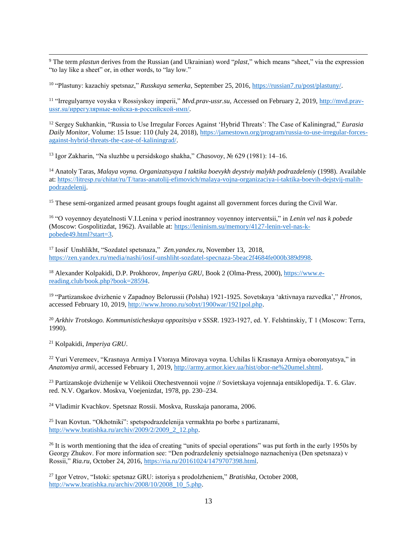$\overline{\phantom{a}}$ <sup>9</sup> The term *plastun* derives from the Russian (and Ukrainian) word "*plast*," which means "sheet," via the expression "to lay like a sheet" or, in other words, to "lay low."

<sup>10</sup> "Plastuny: kazachiy spetsnaz," *Russkaya semerka*, September 25, 2016, [https://russian7.ru/post/plastuny/.](https://russian7.ru/post/plastuny/)

<sup>11</sup> "Irregulyarnye voyska v Rossiyskoy imperii," *Mvd.prav-ussr.su*, Accessed on February 2, 2019, [http://mvd.prav](http://mvd.prav-ussr.su/иррегулярные-войска-в-российской-имп/)[ussr.su/иррегулярные-войска-в-российской-имп/.](http://mvd.prav-ussr.su/иррегулярные-войска-в-российской-имп/)

<sup>12</sup> Sergey Sukhankin, "Russia to Use Irregular Forces Against 'Hybrid Threats': The Case of Kaliningrad," *Eurasia Daily Monitor,* Volume: 15 Issue: 110 (July 24, 2018)[, https://jamestown.org/program/russia-to-use-irregular-forces](https://jamestown.org/program/russia-to-use-irregular-forces-against-hybrid-threats-the-case-of-kaliningrad/)[against-hybrid-threats-the-case-of-kaliningrad/.](https://jamestown.org/program/russia-to-use-irregular-forces-against-hybrid-threats-the-case-of-kaliningrad/)

<sup>13</sup> Igor Zakharin, "Na sluzhbe u persidskogo shakha," *Chasovoy*, № 629 (1981): 14–16.

<sup>14</sup> Anatoly Taras, *Malaya voyna. Organizatsyaya I taktika boevykh deystviy malykh podrazdeleniy* (1998). Available at: [https://litresp.ru/chitat/ru/Т/taras-anatolij-efimovich/malaya-vojna-organizaciya-i-taktika-boevih-dejstvij-malih](https://litresp.ru/chitat/ru/Т/taras-anatolij-efimovich/malaya-vojna-organizaciya-i-taktika-boevih-dejstvij-malih-podrazdelenij)[podrazdelenij.](https://litresp.ru/chitat/ru/Т/taras-anatolij-efimovich/malaya-vojna-organizaciya-i-taktika-boevih-dejstvij-malih-podrazdelenij)

<sup>15</sup> These semi-organized armed peasant groups fought against all government forces during the Civil War.

<sup>16</sup> "O voyennoy deyatelnosti V.I.Lenina v period inostrannoy voyennoy interventsii," in *Lenin vel nas k pobede* (Moscow: Gospolitizdat, 1962). Available at: [https://leninism.su/memory/4127-lenin-vel-nas-k](https://leninism.su/memory/4127-lenin-vel-nas-k-pobede49.html?start=3)[pobede49.html?start=3.](https://leninism.su/memory/4127-lenin-vel-nas-k-pobede49.html?start=3)

<sup>17</sup> Iosif Unshlikht, "Sozdatel spetsnaza," *Zen.yandex.ru*, November 13, 2018, [https://zen.yandex.ru/media/nashi/iosif-unshliht-sozdatel-specnaza-5beac2f4684fe000b389d998.](https://zen.yandex.ru/media/nashi/iosif-unshliht-sozdatel-specnaza-5beac2f4684fe000b389d998)

<sup>18</sup> Alexander Kolpakidi, D.P. Prokhorov, *Imperiya GRU*, Book 2 (Olma-Press, 2000), [https://www.e](https://www.e-reading.club/book.php?book=28594)[reading.club/book.php?book=28594.](https://www.e-reading.club/book.php?book=28594)

<sup>19</sup> "Partizanskoe dvizhenie v Zapadnoy Belorussii (Polsha) 1921-1925. Sovetskaya 'aktivnaya razvedka'," *Hronos*, accessed February 10, 2019, [http://www.hrono.ru/sobyt/1900war/1921pol.php.](http://www.hrono.ru/sobyt/1900war/1921pol.php)

<sup>20</sup> *Arkhiv Trotskogo. Kommunisticheskaya oppozitsiya v SSSR*. 1923-1927, ed. Y. Felshtinskiy, Т 1 (Мoscow: Terra, 1990).

<sup>21</sup> Kolpakidi, *Imperiya GRU*.

<sup>22</sup> Yuri Veremeev, "Krasnaya Armiya I Vtoraya Mirovaya voyna. Uchilas li Krasnaya Armiya oboronyatsya," in *Anatomiya armii*, accessed February 1, 2019[, http://army.armor.kiev.ua/hist/obor-ne%20umel.shtml.](http://army.armor.kiev.ua/hist/obor-ne%20umel.shtml)

<sup>23</sup> Partizanskoje dvizhenije w Velikoii Otechestvennoii vojne // Sovietskaya vojennaja entsiklopedija. T. 6. Glav. red. N.V. Ogarkov. Moskva, Voejenizdat, 1978, pp. 230–234.

<sup>24</sup> Vladimir Kvachkov. Spetsnaz Rossii. Moskva, Russkaja panorama, 2006.

<sup>25</sup> Ivan Kovtun. "Okhotniki": spetspodrazdelenija vermakhta po borbe s partizanami, [http://www.bratishka.ru/archiv/2009/2/2009\\_2\\_12.php.](http://www.bratishka.ru/archiv/2009/2/2009_2_12.php)

<sup>26</sup> It is worth mentioning that the idea of creating "units of special operations" was put forth in the early 1950s by Georgy Zhukov. For more information see: "Den podrazdeleniy spetsialnogo naznacheniya (Den spetsnaza) v Rossii," *Ria.ru*, October 24, 2016, [https://ria.ru/20161024/1479707398.html.](https://ria.ru/20161024/1479707398.html)

<sup>27</sup> Igor Vetrov, "Istoki: spetsnaz GRU: istoriya s prodolzheniem," *Bratishka*, October 2008, [http://www.bratishka.ru/archiv/2008/10/2008\\_10\\_5.php.](http://www.bratishka.ru/archiv/2008/10/2008_10_5.php)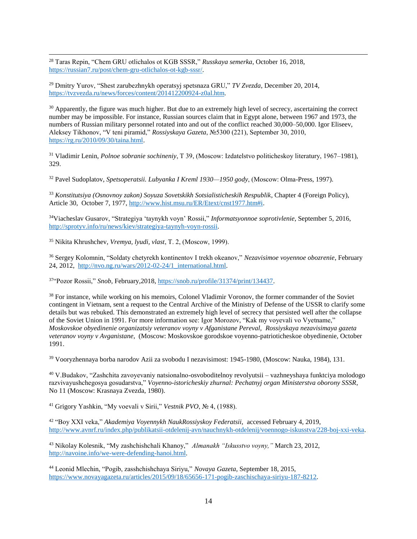<sup>28</sup> Taras Repin, "Chem GRU otlichalos ot KGB SSSR," *Russkaya semerka*, October 16, 2018, [https://russian7.ru/post/chem-gru-otlichalos-ot-kgb-sssr/.](https://russian7.ru/post/chem-gru-otlichalos-ot-kgb-sssr/)

<sup>29</sup> Dmitry Yurov, "Shest zarubezhnykh operatsyj spetsnaza GRU," *TV Zvezda*, December 20, 2014, [https://tvzvezda.ru/news/forces/content/201412200924-z0al.htm.](https://tvzvezda.ru/news/forces/content/201412200924-z0al.htm)

<sup>30</sup> Apparently, the figure was much higher. But due to an extremely high level of secrecy, ascertaining the correct number may be impossible. For instance, Russian sources claim that in Egypt alone, between 1967 and 1973, the numbers of Russian military personnel rotated into and out of the conflict reached 30,000–50,000. Igor Eliseev, Aleksey Tikhonov, "V teni piramid," *Rossiyskaya Gazeta*, №5300 (221), September 30, 2010, [https://rg.ru/2010/09/30/taina.html.](https://rg.ru/2010/09/30/taina.html) 

<sup>31</sup> Vladimir Lenin, *Polnoe sobranie sochineniy*, T 39, (Мoscow: Izdatelstvo politicheskoy literatury, 1967–1981), 329.

<sup>32</sup> Pavel Sudoplatov, *Spetsoperatsii. Lubyanka I Kreml 1930—1950 gody*, (Мoscow: Olma-Press, 1997).

<sup>33</sup> *Konstitutsiya (Osnovnoy zakon) Soyuza Sovetskikh Sotsialisticheskih Respublik*, Chapter 4 (Foreign Policy), Article 30, October 7, 1977, [http://www.hist.msu.ru/ER/Etext/cnst1977.htm#i.](http://www.hist.msu.ru/ER/Etext/cnst1977.htm#i)

<sup>34</sup>Viacheslav Gusarov, "Strategiya 'taynykh voyn' Rossii," *Informatsyonnoe soprotivlenie*, September 5, 2016, [http://sprotyv.info/ru/news/kiev/strategiya-taynyh-voyn-rossii.](http://sprotyv.info/ru/news/kiev/strategiya-taynyh-voyn-rossii)

<sup>35</sup> Nikita Khrushchev, *Vremya, lyudi, vlast*, Т. 2, (Мoscow, 1999).

 $\overline{\phantom{a}}$ 

<sup>36</sup> Sergey Kolomnin, "Soldaty chetyrekh kontinentov I trekh okeanov," *Nezavisimoe voyennoe obozrenie*, February 24, 2012, [http://nvo.ng.ru/wars/2012-02-24/1\\_international.html.](http://nvo.ng.ru/wars/2012-02-24/1_international.html)

<sup>37</sup>"Pozor Rossii," *Snob*, February,2018, [https://snob.ru/profile/31374/print/134437.](https://snob.ru/profile/31374/print/134437)

<sup>38</sup> For instance, while working on his memoirs, Colonel Vladimir Voronov, the former commander of the Soviet contingent in Vietnam, sent a request to the Central Archive of the Ministry of Defense of the USSR to clarify some details but was rebuked. This demonstrated an extremely high level of secrecy that persisted well after the collapse of the Soviet Union in 1991. For more information see: Igor Morozov, "Kak my voyevali vo Vyetname," *Moskovskoe obyedinenie organizatsiy veteranov voyny v Afganistane Pereval, Rossiyskaya nezavisimaya gazeta veteranov voyny v Avganistane*, (Moscow: Moskovskoe gorodskoe voyenno-patrioticheskoe obyedinenie, October 1991.

<sup>39</sup> Vooryzhennaya borba narodov Azii za svobodu I nezavisimost: 1945-1980, (Moscow: Nauka, 1984), 131.

<sup>40</sup> V.Budakov, "Zashchita zavoyevaniy natsionalno-osvoboditelnoy revolyutsii – vazhneyshaya funktciya molodogo razvivayushchegosya gosudarstva," *Voyenno-istoricheskiy zhurnal: Pechatnyj organ Ministerstva oborony SSSR*, No 11 (Moscow: Krasnaya Zvezda, 1980).

<sup>41</sup> Grigory Yashkin, "My voevali v Sirii," *Vestnik PVO*, № 4, (1988).

<sup>42</sup> "Boy XXI veka," *Akademiya Voyennykh NaukRossiyskoy Federatsii,* accessed February 4, 2019, [http://www.avnrf.ru/index.php/publikatsii-otdelenij-avn/nauchnykh-otdelenij/voennogo-iskusstva/228-boj-xxi-veka.](http://www.avnrf.ru/index.php/publikatsii-otdelenij-avn/nauchnykh-otdelenij/voennogo-iskusstva/228-boj-xxi-veka)

<sup>43</sup> Nikolay Kolesnik, "My zashchishchali Khanoy," *Almanakh "Iskusstvo voyny,"* March 23, 2012, [http://navoine.info/we-were-defending-hanoi.html.](http://navoine.info/we-were-defending-hanoi.html)

<sup>44</sup> Leonid Mlechin, "Pogib, zasshchishchaya Siriyu," *Novaya Gazeta*, September 18, 2015, [https://www.novayagazeta.ru/articles/2015/09/18/65656-171-pogib-zaschischaya-siriyu-187-8212.](https://www.novayagazeta.ru/articles/2015/09/18/65656-171-pogib-zaschischaya-siriyu-187-8212)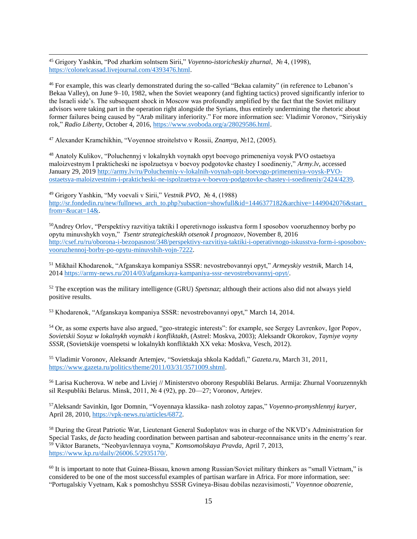<sup>45</sup> Grigory Yashkin, "Pod zharkim solntsem Sirii," *Voyenno-istoricheskiy zhurnal*, № 4, (1998), [https://colonelcassad.livejournal.com/4393476.html.](https://colonelcassad.livejournal.com/4393476.html)

<sup>46</sup> For example, this was clearly demonstrated during the so-called "Bekaa calamity" (in reference to Lebanon's Bekaa Valley), on June 9–10, 1982, when the Soviet weaponry (and fighting tactics) proved significantly inferior to the Israeli side's. The subsequent shock in Moscow was profoundly amplified by the fact that the Soviet military advisors were taking part in the operation right alongside the Syrians, thus entirely undermining the rhetoric about former failures being caused by "Arab military inferiority." For more information see: Vladimir Voronov, "Siriyskiy rok," *Radio Liberty*, October 4, 2016[, https://www.svoboda.org/a/28029586.html.](https://www.svoboda.org/a/28029586.html)

<sup>47</sup> Alexander Kramchikhin, "Voyennoe stroitelstvo v Rossii, *Znamya,* №12, (2005).

 $\overline{\phantom{a}}$ 

<sup>48</sup> Anatoly Kulikov, "Poluchennyj v lokalnykh voynakh opyt boevogo primeneniya voysk PVO ostaetsya maloizvestnym I prakticheski ne ispolzuetsya v boevoy podgotovke chastey I soedineniy," *Army.lv*, accessed January 29, 2019 [http://army.lv/ru/Poluchenniy-v-lokalnih-voynah-opit-boevogo-primeneniya-voysk-PVO](http://army.lv/ru/Poluchenniy-v-lokalnih-voynah-opit-boevogo-primeneniya-voysk-PVO-ostaetsya-maloizvestnim-i-prakticheski-ne-ispolzuetsya-v-boevoy-podgotovke-chastey-i-soedineniy/2424/4239)[ostaetsya-maloizvestnim-i-prakticheski-ne-ispolzuetsya-v-boevoy-podgotovke-chastey-i-soedineniy/2424/4239.](http://army.lv/ru/Poluchenniy-v-lokalnih-voynah-opit-boevogo-primeneniya-voysk-PVO-ostaetsya-maloizvestnim-i-prakticheski-ne-ispolzuetsya-v-boevoy-podgotovke-chastey-i-soedineniy/2424/4239)

<sup>49</sup> Grigory Yashkin, "My voevali v Sirii," *Vestnik PVO*, № 4, (1988) http://sr.fondedin.ru/new/fullnews\_arch\_to.php?subaction=showfull&id=1446377182&archive=1449042076&start [from=&ucat=14&.](http://sr.fondedin.ru/new/fullnews_arch_to.php?subaction=showfull&id=1446377182&archive=1449042076&start_from=&ucat=14&)

<sup>50</sup>Andrey Orlov, "Perspektivy razvitiya taktiki I operetivnogo isskustva form I sposobov vooruzhennoy borby po opytu minuvshykh voyn," *Tsentr strategicheskikh otsenok I prognozov*, November 8, 2016 [http://csef.ru/ru/oborona-i-bezopasnost/348/perspektivy-razvitiya-taktiki-i-operativnogo-iskusstva-form-i-sposobov](http://csef.ru/ru/oborona-i-bezopasnost/348/perspektivy-razvitiya-taktiki-i-operativnogo-iskusstva-form-i-sposobov-vooruzhennoj-borby-po-opytu-minuvshih-vojn-7222)[vooruzhennoj-borby-po-opytu-minuvshih-vojn-7222.](http://csef.ru/ru/oborona-i-bezopasnost/348/perspektivy-razvitiya-taktiki-i-operativnogo-iskusstva-form-i-sposobov-vooruzhennoj-borby-po-opytu-minuvshih-vojn-7222)

<sup>51</sup> Mikhail Khodarenok, "Afganskaya kompaniya SSSR: nevostrebovannyi opyt," *Armeyskiy vestnik*, March 14, 201[4 https://army-news.ru/2014/03/afganskaya-kampaniya-sssr-nevostrebovannyj-opyt/.](https://army-news.ru/2014/03/afganskaya-kampaniya-sssr-nevostrebovannyj-opyt/)

<sup>52</sup> The exception was the military intelligence (GRU) *Spetsnaz*; although their actions also did not always yield positive results.

<sup>53</sup> Khodarenok, "Afganskaya kompaniya SSSR: nevostrebovannyi opyt," March 14, 2014.

<sup>54</sup> Or, as some experts have also argued, "geo-strategic interests": for example, see Sergey Lavrenkov, Igor Popov, *Sovietskii Soyuz w lokalnykh voynakh i konfliktakh*, (Astrel: Moskva, 2003); Aleksandr Okorokov, *Tayniye voyny SSSR*, (Sovietskije voenspetsi w lokalnykh konfliktakh ХХ veka: Moskva, Vesch, 2012).

<sup>55</sup> Vladimir Voronov, Aleksandr Artemjev, "Sovietskaja shkola Kaddafi," *Gazeta.ru*, March 31, 2011, [https://www.gazeta.ru/politics/theme/2011/03/31/3571009.shtml.](https://www.gazeta.ru/politics/theme/2011/03/31/3571009.shtml)

<sup>56</sup> Larisa Kucherova. W nebe and Liviej // Ministerstvo oborony Respubliki Belarus. Armija: Zhurnal Vooruzennykh sil Respubliki Belarus. Minsk, 2011, № 4 (92), pp. 20—27; Voronov, Artejev.

<sup>57</sup>Aleksandr Savinkin, Igor Domnin, "Voyennaya klassika- nash zolotoy zapas," *Voyenno-promyshlennyj kuryer*, April 28, 2010[, https://vpk-news.ru/articles/6872.](https://vpk-news.ru/articles/6872)

<sup>58</sup> During the Great Patriotic War, Lieutenant General Sudoplatov was in charge of the NKVD's Administration for Special Tasks, *de facto* heading coordination between partisan and saboteur-reconnaisance units in the enemy's rear. <sup>59</sup> Viktor Baranets, "Neobyavlennaya voyna," *Komsomolskaya Pravda*, April 7, 2013, [https://www.kp.ru/daily/26006.5/2935170/.](https://www.kp.ru/daily/26006.5/2935170/)

 $60$  It is important to note that Guinea-Bissau, known among Russian/Soviet military thinkers as "small Vietnam," is considered to be one of the most successful examples of partisan warfare in Africa. For more information, see: "Portugalskiy Vyetnam, Kak s pomoshchyu SSSR Gvineya-Bisau dobilas nezavisimosti," *Voyennoe obozrenie*,